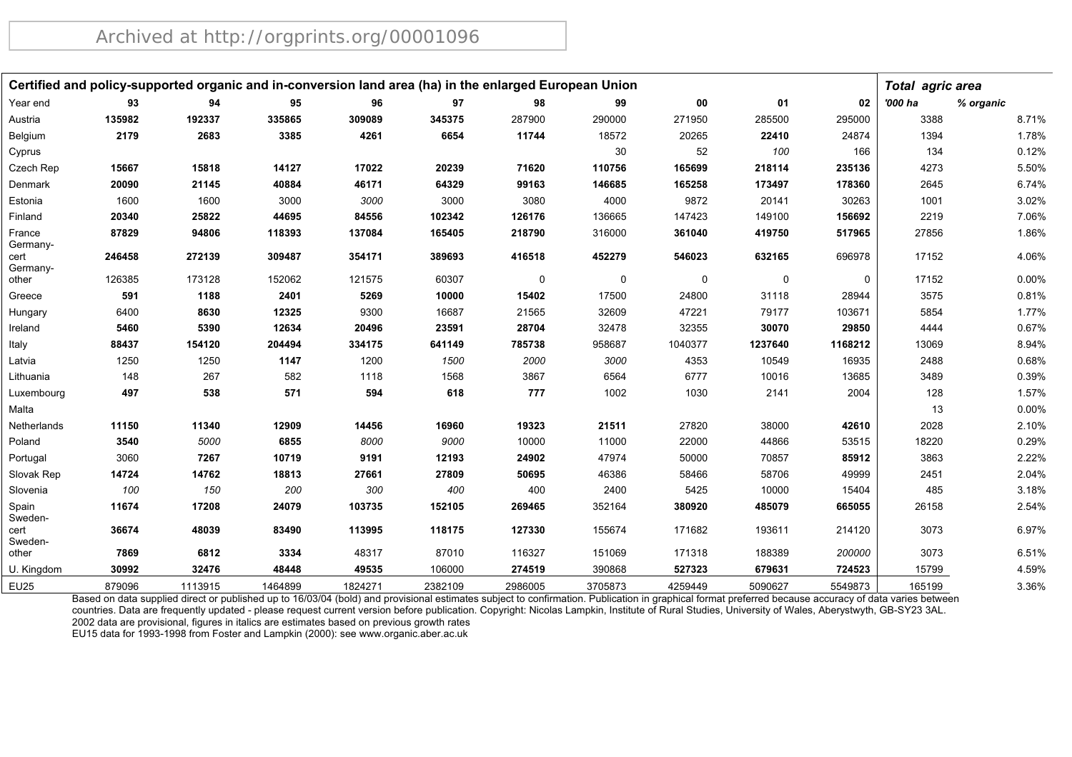|                    |        |         | Certified and policy-supported organic and in-conversion land area (ha) in the enlarged European Union |         |         |         |             |             |         |          | <b>Total agric area</b> |           |
|--------------------|--------|---------|--------------------------------------------------------------------------------------------------------|---------|---------|---------|-------------|-------------|---------|----------|-------------------------|-----------|
| Year end           | 93     | 94      | 95                                                                                                     | 96      | 97      | 98      | 99          | 00          | 01      | 02       | '000 ha                 | % organic |
| Austria            | 135982 | 192337  | 335865                                                                                                 | 309089  | 345375  | 287900  | 290000      | 271950      | 285500  | 295000   | 3388                    | 8.71%     |
| Belgium            | 2179   | 2683    | 3385                                                                                                   | 4261    | 6654    | 11744   | 18572       | 20265       | 22410   | 24874    | 1394                    | 1.78%     |
| Cyprus             |        |         |                                                                                                        |         |         |         | 30          | 52          | 100     | 166      | 134                     | 0.12%     |
| Czech Rep          | 15667  | 15818   | 14127                                                                                                  | 17022   | 20239   | 71620   | 110756      | 165699      | 218114  | 235136   | 4273                    | 5.50%     |
| Denmark            | 20090  | 21145   | 40884                                                                                                  | 46171   | 64329   | 99163   | 146685      | 165258      | 173497  | 178360   | 2645                    | 6.74%     |
| Estonia            | 1600   | 1600    | 3000                                                                                                   | 3000    | 3000    | 3080    | 4000        | 9872        | 20141   | 30263    | 1001                    | 3.02%     |
| Finland            | 20340  | 25822   | 44695                                                                                                  | 84556   | 102342  | 126176  | 136665      | 147423      | 149100  | 156692   | 2219                    | 7.06%     |
| France<br>Germany- | 87829  | 94806   | 118393                                                                                                 | 137084  | 165405  | 218790  | 316000      | 361040      | 419750  | 517965   | 27856                   | 1.86%     |
| cert<br>Germany-   | 246458 | 272139  | 309487                                                                                                 | 354171  | 389693  | 416518  | 452279      | 546023      | 632165  | 696978   | 17152                   | 4.06%     |
| other              | 126385 | 173128  | 152062                                                                                                 | 121575  | 60307   | 0       | $\mathbf 0$ | $\mathbf 0$ | 0       | $\Omega$ | 17152                   | 0.00%     |
| Greece             | 591    | 1188    | 2401                                                                                                   | 5269    | 10000   | 15402   | 17500       | 24800       | 31118   | 28944    | 3575                    | 0.81%     |
| Hungary            | 6400   | 8630    | 12325                                                                                                  | 9300    | 16687   | 21565   | 32609       | 47221       | 79177   | 103671   | 5854                    | 1.77%     |
| Ireland            | 5460   | 5390    | 12634                                                                                                  | 20496   | 23591   | 28704   | 32478       | 32355       | 30070   | 29850    | 4444                    | 0.67%     |
| Italy              | 88437  | 154120  | 204494                                                                                                 | 334175  | 641149  | 785738  | 958687      | 1040377     | 1237640 | 1168212  | 13069                   | 8.94%     |
| Latvia             | 1250   | 1250    | 1147                                                                                                   | 1200    | 1500    | 2000    | 3000        | 4353        | 10549   | 16935    | 2488                    | 0.68%     |
| Lithuania          | 148    | 267     | 582                                                                                                    | 1118    | 1568    | 3867    | 6564        | 6777        | 10016   | 13685    | 3489                    | 0.39%     |
| Luxembourg         | 497    | 538     | 571                                                                                                    | 594     | 618     | 777     | 1002        | 1030        | 2141    | 2004     | 128                     | 1.57%     |
| Malta              |        |         |                                                                                                        |         |         |         |             |             |         |          | 13                      | 0.00%     |
| Netherlands        | 11150  | 11340   | 12909                                                                                                  | 14456   | 16960   | 19323   | 21511       | 27820       | 38000   | 42610    | 2028                    | 2.10%     |
| Poland             | 3540   | 5000    | 6855                                                                                                   | 8000    | 9000    | 10000   | 11000       | 22000       | 44866   | 53515    | 18220                   | 0.29%     |
| Portugal           | 3060   | 7267    | 10719                                                                                                  | 9191    | 12193   | 24902   | 47974       | 50000       | 70857   | 85912    | 3863                    | 2.22%     |
| Slovak Rep         | 14724  | 14762   | 18813                                                                                                  | 27661   | 27809   | 50695   | 46386       | 58466       | 58706   | 49999    | 2451                    | 2.04%     |
| Slovenia           | 100    | 150     | 200                                                                                                    | 300     | 400     | 400     | 2400        | 5425        | 10000   | 15404    | 485                     | 3.18%     |
| Spain<br>Sweden-   | 11674  | 17208   | 24079                                                                                                  | 103735  | 152105  | 269465  | 352164      | 380920      | 485079  | 665055   | 26158                   | 2.54%     |
| cert<br>Sweden-    | 36674  | 48039   | 83490                                                                                                  | 113995  | 118175  | 127330  | 155674      | 171682      | 193611  | 214120   | 3073                    | 6.97%     |
| other              | 7869   | 6812    | 3334                                                                                                   | 48317   | 87010   | 116327  | 151069      | 171318      | 188389  | 200000   | 3073                    | 6.51%     |
| U. Kingdom         | 30992  | 32476   | 48448                                                                                                  | 49535   | 106000  | 274519  | 390868      | 527323      | 679631  | 724523   | 15799                   | 4.59%     |
| <b>EU25</b>        | 879096 | 1113915 | 1464899                                                                                                | 1824271 | 2382109 | 2986005 | 3705873     | 4259449     | 5090627 | 5549873  | 165199                  | 3.36%     |

Based on data supplied direct or published up to 16/03/04 (bold) and provisional estimates subject to confirmation. Publication in graphical format preferred because accuracy of data varies between countries. Data are frequently updated - please request current version before publication. Copyright: Nicolas Lampkin, Institute of Rural Studies, University of Wales, Aberystwyth, GB-SY23 3AL. 2002 data are provisional, figures in italics are estimates based on previous growth rates

EU15 data for 1993-1998 from Foster and Lampkin (2000): see www.organic.aber.ac.uk